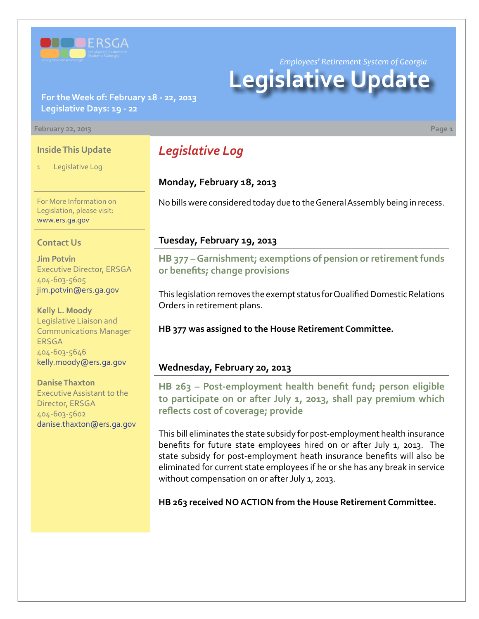

# **For the Week of: February 18 - 22, 2013 Legislative Days: 19 - 22**

#### **February 22, 2013 Page 1**

#### **Inside This Update**

Legislative Log

*Legislative Log*

## **Monday, February 18, 2013**

No bills were considered today due to the General Assembly being in recess.

*Employees' Retirement System of Georgia*

**Legislative Update**

For More Information on Legislation, please visit: [www.ers.ga.gov](http://www.ers.ga.gov/default.aspx)

#### **Contact Us**

**Jim Potvin** Executive Director, ERSGA 404-603-5605 jim.potvin@ers.ga.gov

**Kelly L. Moody** Legislative Liaison and Communications Manager ERSGA 404-603-5646 kelly.moody@ers.ga.gov

**Danise Thaxton** Executive Assistant to the Director, ERSGA 404-603-5602 danise.thaxton@ers.ga.gov

### **Tuesday, February 19, 2013**

**HB 37[7 – G](http://www.legis.ga.gov/legislation/en-US/Display/20132014/HB/377)arnishment; exemptions of pension or retirement funds or benefits; change provisions**

This legislation removes the exempt status for Qualified Domestic Relations Orders in retirement plans.

**HB 377 was assigned to the House Retirement Committee.**

#### **Wednesday, February 20, 2013**

**[HB 263 – Post-employment health benefit fund; person eligible](http://www.legis.ga.gov/legislation/en-US/Display/20132014/HB/263) [to participate on or after July 1, 2013, shall pay premium which](http://www.legis.ga.gov/legislation/en-US/Display/20132014/HB/263) [reflects cost of coverage; provide](http://www.legis.ga.gov/legislation/en-US/Display/20132014/HB/263)**

This bill eliminates the state subsidy for post-employment health insurance benefits for future state employees hired on or after July 1, 2013. The state subsidy for post-employment heath insurance benefits will also be eliminated for current state employees if he or she has any break in service without compensation on or after July 1, 2013.

**HB 263 received NO ACTION from the House Retirement Committee.**